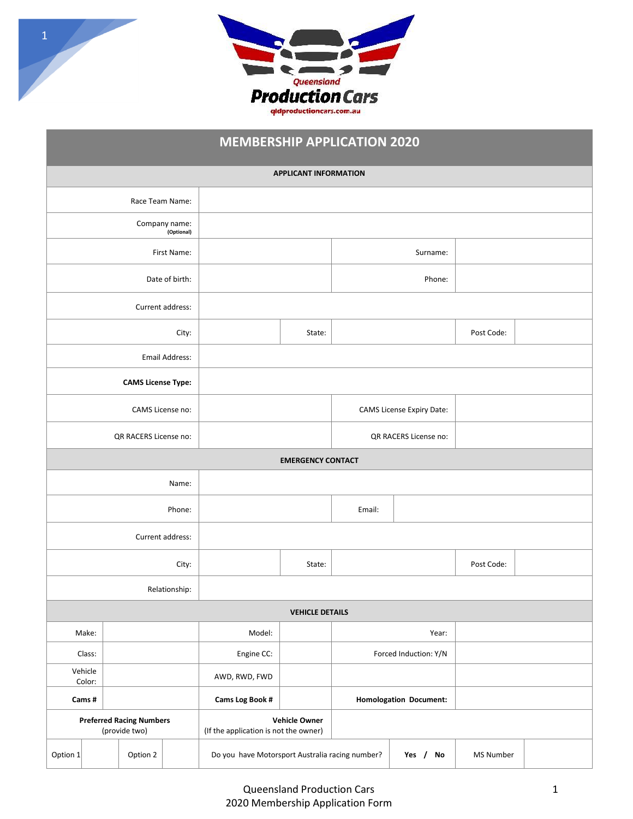

1

# **MEMBERSHIP APPLICATION 2020**

|                                                  |                   |                           |                                                               |                                                 | <b>APPLICANT INFORMATION</b> |                       |                               |           |  |
|--------------------------------------------------|-------------------|---------------------------|---------------------------------------------------------------|-------------------------------------------------|------------------------------|-----------------------|-------------------------------|-----------|--|
| Race Team Name:                                  |                   |                           |                                                               |                                                 |                              |                       |                               |           |  |
| Company name:<br>(Optional)                      |                   |                           |                                                               |                                                 |                              |                       |                               |           |  |
| First Name:                                      |                   |                           |                                                               |                                                 |                              | Surname:              |                               |           |  |
| Date of birth:                                   |                   |                           |                                                               |                                                 |                              | Phone:                |                               |           |  |
| Current address:                                 |                   |                           |                                                               |                                                 |                              |                       |                               |           |  |
| City:                                            |                   |                           |                                                               | State:                                          |                              |                       | Post Code:                    |           |  |
| Email Address:                                   |                   |                           |                                                               |                                                 |                              |                       |                               |           |  |
|                                                  |                   | <b>CAMS License Type:</b> |                                                               |                                                 |                              |                       |                               |           |  |
| CAMS License no:                                 |                   |                           |                                                               |                                                 | CAMS License Expiry Date:    |                       |                               |           |  |
|                                                  |                   | QR RACERS License no:     |                                                               |                                                 |                              | QR RACERS License no: |                               |           |  |
|                                                  |                   |                           |                                                               |                                                 | <b>EMERGENCY CONTACT</b>     |                       |                               |           |  |
| Name:                                            |                   |                           |                                                               |                                                 |                              |                       |                               |           |  |
| Phone:                                           |                   |                           |                                                               |                                                 | Email:                       |                       |                               |           |  |
| Current address:                                 |                   |                           |                                                               |                                                 |                              |                       |                               |           |  |
| City:                                            |                   |                           |                                                               | State:                                          |                              |                       | Post Code:                    |           |  |
| Relationship:                                    |                   |                           |                                                               |                                                 |                              |                       |                               |           |  |
|                                                  |                   |                           |                                                               |                                                 | <b>VEHICLE DETAILS</b>       |                       |                               |           |  |
|                                                  | Make:             |                           |                                                               | Model:                                          |                              | Year:                 |                               |           |  |
| Class:                                           |                   | Engine CC:                |                                                               | Forced Induction: Y/N                           |                              |                       |                               |           |  |
|                                                  | Vehicle<br>Color: |                           |                                                               | AWD, RWD, FWD                                   |                              |                       |                               |           |  |
|                                                  | Cams#             |                           |                                                               | Cams Log Book #                                 |                              |                       | <b>Homologation Document:</b> |           |  |
| <b>Preferred Racing Numbers</b><br>(provide two) |                   |                           | <b>Vehicle Owner</b><br>(If the application is not the owner) |                                                 |                              |                       |                               |           |  |
| Option 1                                         |                   | Option 2                  |                                                               | Do you have Motorsport Australia racing number? |                              |                       | Yes /<br>No                   | MS Number |  |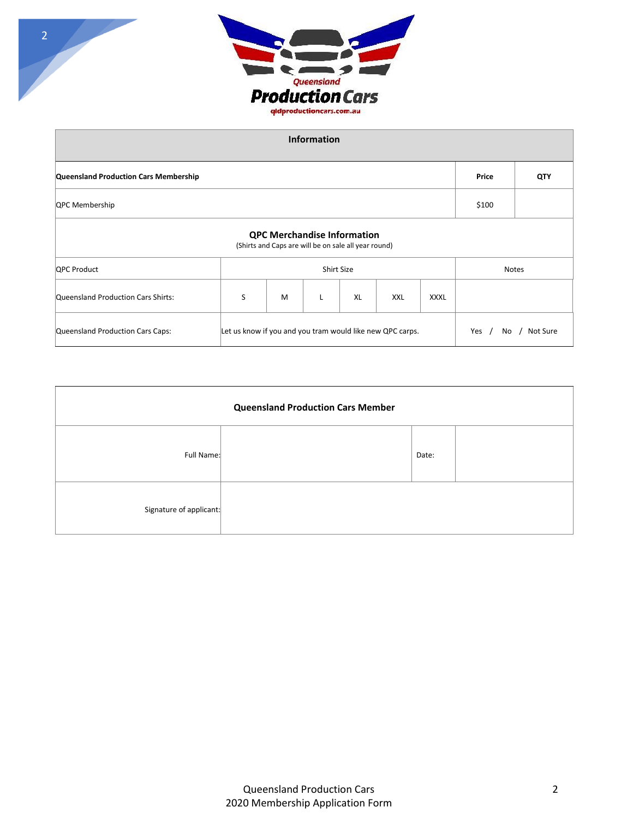

| <b>Information</b>                                                                                         |                   |   |   |    |            |              |       |     |
|------------------------------------------------------------------------------------------------------------|-------------------|---|---|----|------------|--------------|-------|-----|
| Queensland Production Cars Membership                                                                      |                   |   |   |    |            |              | Price | QTY |
| QPC Membership                                                                                             |                   |   |   |    |            |              | \$100 |     |
| <b>QPC Merchandise Information</b><br>(Shirts and Caps are will be on sale all year round)                 |                   |   |   |    |            |              |       |     |
| <b>QPC Product</b>                                                                                         | <b>Shirt Size</b> |   |   |    |            | <b>Notes</b> |       |     |
| Queensland Production Cars Shirts:                                                                         | S                 | M | L | XL | <b>XXL</b> | <b>XXXL</b>  |       |     |
| Let us know if you and you tram would like new QPC carps.<br>Queensland Production Cars Caps:<br>Yes<br>No |                   |   |   |    |            | Not Sure     |       |     |

| <b>Queensland Production Cars Member</b> |  |       |  |  |  |  |  |
|------------------------------------------|--|-------|--|--|--|--|--|
| Full Name:                               |  | Date: |  |  |  |  |  |
| Signature of applicant:                  |  |       |  |  |  |  |  |